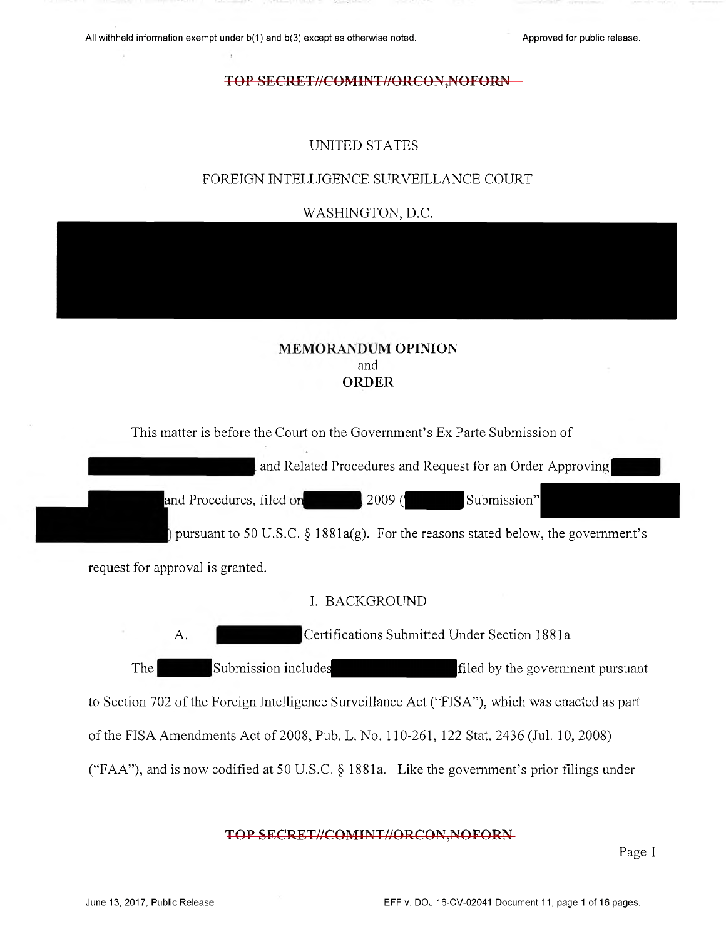# UNITED STATES

# FOREIGN INTELLIGENCE SURVEILLANCE COURT

WASHINGTON, D.C.

# **MEMORANDUM OPINION** and ORDER

This matter is before the Court on the Government's Ex Parte Submission of

and Related Procedures and Request for an Order Approving

and Procedures, filed on  $\vert$  2009 ( $\vert$  Submission"

) pursuant to 50 U.S.C.  $\S 1881a(g)$ . For the reasons stated below, the government's

request for approval is granted.

# I. BACKGROUND

A. Certifications Submitted Under Section 1881a The Submission includes filed by the government pursuant to Section 702 of the Foreign Intelligence Surveillance Act ("FISA"), which was enacted as part of the FISA Amendments Act of 2008, Pub. L. No. 110-261, 122 Stat. 2436 (Jul. 10, 2008) ("FAA"), and is now codified at 50 U.S.C. § 1881a. Like the government's prior filings under

## TOP SECRET//COMINT//ORCON, NOFORN-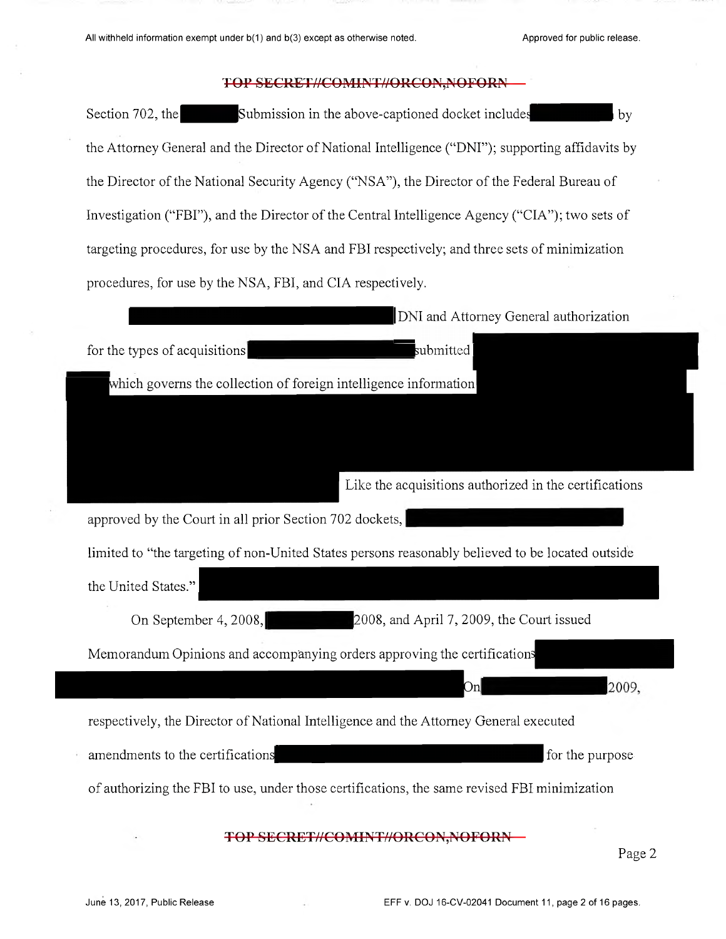Section 702, the Submission in the above-captioned docket includes the Attorney General and the **D**irector of **N**ational Intelligence ("**DN**I"); supporting affidavits by the **D**irector of the **N**ational Security Agency ("**N**SA"), the **D**irector of the Federal **B**ureau of Investigation ("F**B**I"), and the **D**irector of the **C**entral Intelligence Agency ("**C**IA"); two sets of targeting procedures, for use by the **N**SA and F**B**I respectively; and three sets of minimization procedures, for use by the **N**SA, FBI, and **C**IA respectively.

| DNI and Attorney General authorization                                                           |
|--------------------------------------------------------------------------------------------------|
| submitted<br>for the types of acquisitions                                                       |
| which governs the collection of foreign intelligence information                                 |
|                                                                                                  |
|                                                                                                  |
| Like the acquisitions authorized in the certifications                                           |
| approved by the Court in all prior Section 702 dockets,                                          |
| limited to "the targeting of non-United States persons reasonably believed to be located outside |
| the United States."                                                                              |
| 2008, and April 7, 2009, the Court issued<br>On September 4, 2008,                               |
| Memorandum Opinions and accompanying orders approving the certifications                         |
| 2009,<br>Onl                                                                                     |
| respectively, the Director of National Intelligence and the Attorney General executed            |
| for the purpose<br>amendments to the certifications                                              |
| of authorizing the FBI to use, under those certifications, the same revised FBI minimization     |
|                                                                                                  |
| <b>TOP SECRET//COMINT//ORCON.NOF</b><br>Page 2                                                   |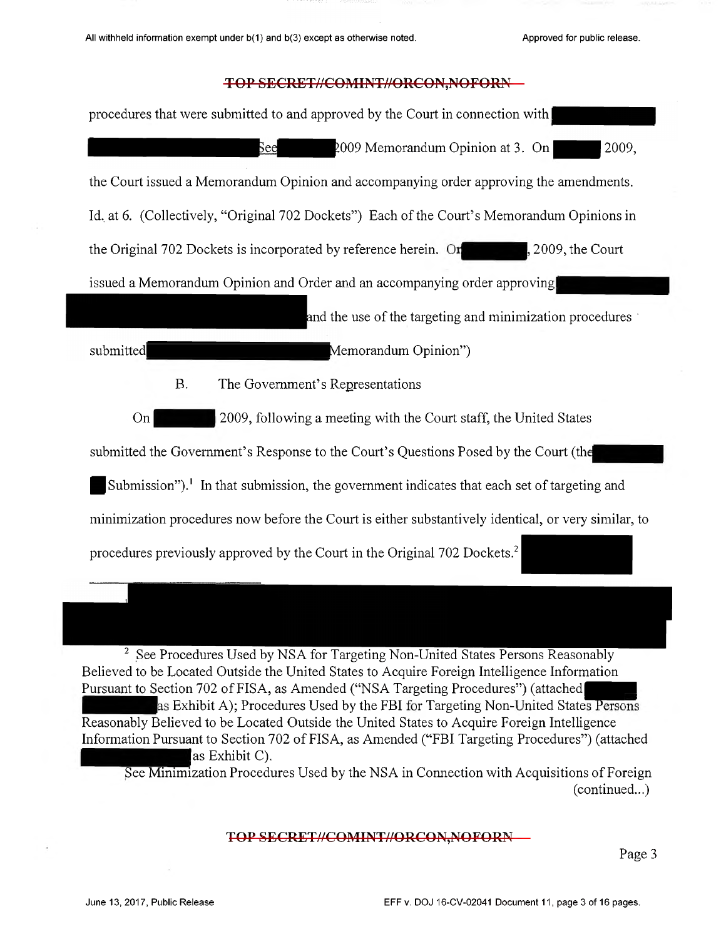

as Exhibit C). See Minimization Procedures Used by the NSA in Connection with Acquisitions of Foreign (continued...)

## TOP SECRET//COMINT//ORCON,NOFORN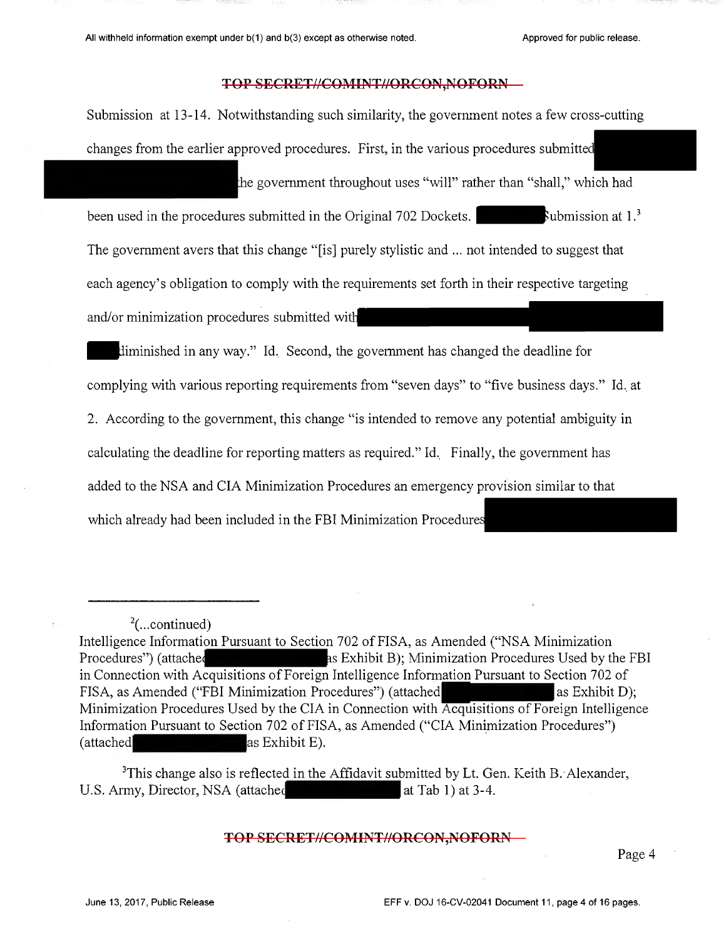Submission at 13-14. Notwithstanding such similarity, the government notes a few cross-cutting changes from the earlier approved procedures. First, in the various procedures submitte

the government throughout uses "will" rather than "shall," which had

been used in the procedures submitted in the Original 702 Dockets.  $\blacksquare$  Submission at 1.<sup>3</sup> The government avers that this change "[is] purely stylistic and ... not intended to suggest that each agency's obligation to comply with the requirements set forth in their respective targeting and/or minimization procedures submitted wit

diminished in any way." Id. Second, the government has changed the deadline for complying with various reporting requirements from "seven days" to "five business days." Id. at 2. According to the government, this change "is intended to remove any potential ambiguity in calculating the deadline for reporting matters as required." Id. Finally, the government has added to the NSA and CIA Minimization Procedures an emergency provision similar to that which already had been included in the FBI Minimization Procedures

 $3$ This change also is reflected in the Affidavit submitted by Lt. Gen. Keith B. Alexander, U.S. Army, Director, NSA (attached at Tab 1) at 3-4.

## TOP SECRET//COMINT//ORCON,NOFORN

 $2$ (...continued)

Intelligence Information Pursuant to Section 702 of FISA, as Amended ("NSA Minimization Procedures") (attached Exhibit B); Minimization Procedures Used by the FBI in Connection with Acquisitions of Foreign Intelligence Information Pursuant to Section 702 of FISA, as Amended ("FBI Minimization Procedures") (attached as Exhibit D); Minimization Procedures Used by the CIA in Connection with Acquisitions of Foreign Intelligence Information Pursuant to Section 702 of FISA, as Amended ("CIA Minimization Procedures") (attached as Exhibit E).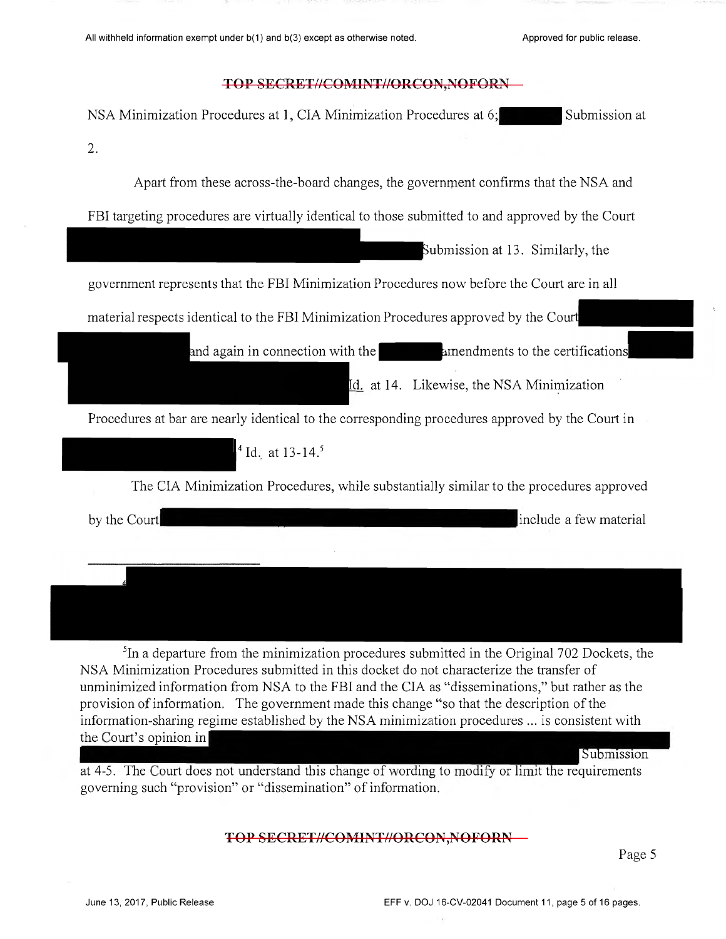| NSA Minimization Procedures at 1, CIA Minimization Procedures at 6;<br>Submission at<br>2.<br>Apart from these across-the-board changes, the government confirms that the NSA and<br>FBI targeting procedures are virtually identical to those submitted to and approved by the Court<br>Submission at 13. Similarly, the<br>government represents that the FBI Minimization Procedures now before the Court are in all<br>material respects identical to the FBI Minimization Procedures approved by the Court<br>and again in connection with the <b>the same amendments</b> to the certifications<br>Id. at 14. Likewise, the NSA Minimization<br>Procedures at bar are nearly identical to the corresponding procedures approved by the Court in<br>$^{4}$ Id. at 13-14. <sup>5</sup> | TOP SECRET//COMINT//ORCON, NOFORN                                                                       |
|-------------------------------------------------------------------------------------------------------------------------------------------------------------------------------------------------------------------------------------------------------------------------------------------------------------------------------------------------------------------------------------------------------------------------------------------------------------------------------------------------------------------------------------------------------------------------------------------------------------------------------------------------------------------------------------------------------------------------------------------------------------------------------------------|---------------------------------------------------------------------------------------------------------|
|                                                                                                                                                                                                                                                                                                                                                                                                                                                                                                                                                                                                                                                                                                                                                                                           |                                                                                                         |
|                                                                                                                                                                                                                                                                                                                                                                                                                                                                                                                                                                                                                                                                                                                                                                                           |                                                                                                         |
|                                                                                                                                                                                                                                                                                                                                                                                                                                                                                                                                                                                                                                                                                                                                                                                           |                                                                                                         |
|                                                                                                                                                                                                                                                                                                                                                                                                                                                                                                                                                                                                                                                                                                                                                                                           |                                                                                                         |
|                                                                                                                                                                                                                                                                                                                                                                                                                                                                                                                                                                                                                                                                                                                                                                                           |                                                                                                         |
|                                                                                                                                                                                                                                                                                                                                                                                                                                                                                                                                                                                                                                                                                                                                                                                           |                                                                                                         |
|                                                                                                                                                                                                                                                                                                                                                                                                                                                                                                                                                                                                                                                                                                                                                                                           |                                                                                                         |
|                                                                                                                                                                                                                                                                                                                                                                                                                                                                                                                                                                                                                                                                                                                                                                                           |                                                                                                         |
|                                                                                                                                                                                                                                                                                                                                                                                                                                                                                                                                                                                                                                                                                                                                                                                           |                                                                                                         |
|                                                                                                                                                                                                                                                                                                                                                                                                                                                                                                                                                                                                                                                                                                                                                                                           |                                                                                                         |
|                                                                                                                                                                                                                                                                                                                                                                                                                                                                                                                                                                                                                                                                                                                                                                                           |                                                                                                         |
|                                                                                                                                                                                                                                                                                                                                                                                                                                                                                                                                                                                                                                                                                                                                                                                           | The CIA Minimization Procedures, while substantially similar to the procedures approved                 |
| include a few material<br>by the Court                                                                                                                                                                                                                                                                                                                                                                                                                                                                                                                                                                                                                                                                                                                                                    |                                                                                                         |
|                                                                                                                                                                                                                                                                                                                                                                                                                                                                                                                                                                                                                                                                                                                                                                                           |                                                                                                         |
|                                                                                                                                                                                                                                                                                                                                                                                                                                                                                                                                                                                                                                                                                                                                                                                           | <sup>5</sup> In a departure from the minimization procedures submitted in the Original 702 Dockets, the |
| NSA Minimization Procedures submitted in this docket do not characterize the transfer of<br>unminimized information from NSA to the FBI and the CIA as "disseminations," but rather as the<br>provision of information. The government made this change "so that the description of the<br>information-sharing regime established by the NSA minimization procedures  is consistent with                                                                                                                                                                                                                                                                                                                                                                                                  | the Court's opinion in<br>Submission                                                                    |

at 4-5. The Court does not understand this change of wording to modify or limit the requirements governing such "provision" or "dissemination" of information.

# TOP SECRET//COMINT//ORCON,NOFORN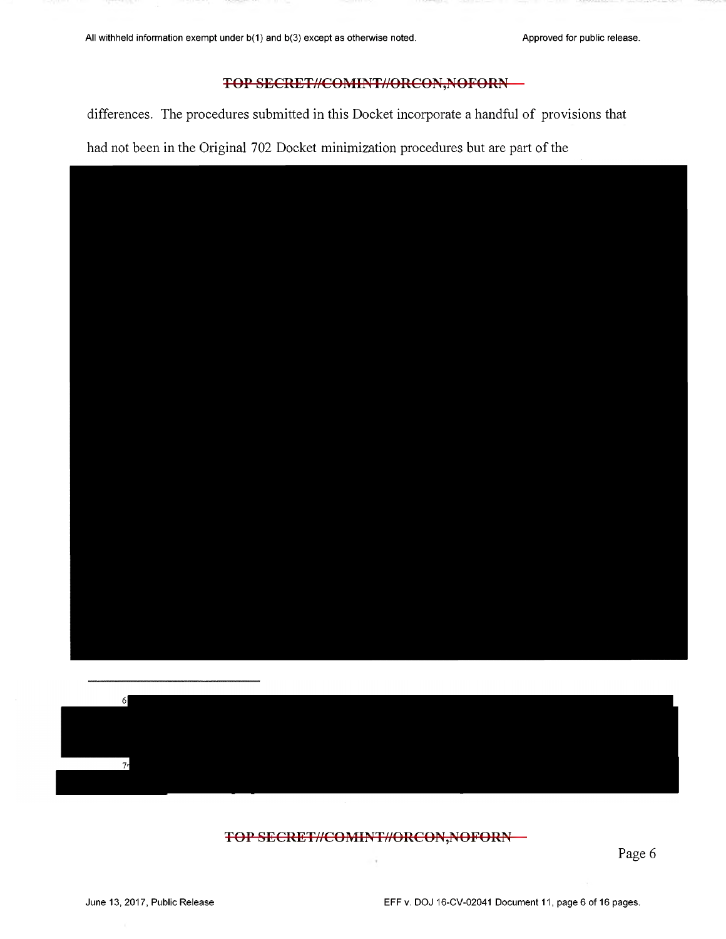differences. The procedures submitted in this Docket incorporate a handful of provisions that

had not been in the Original 702 Docket minimization procedures but are part of the





TOP SECRET//COMINT//ORCON,NOFORN-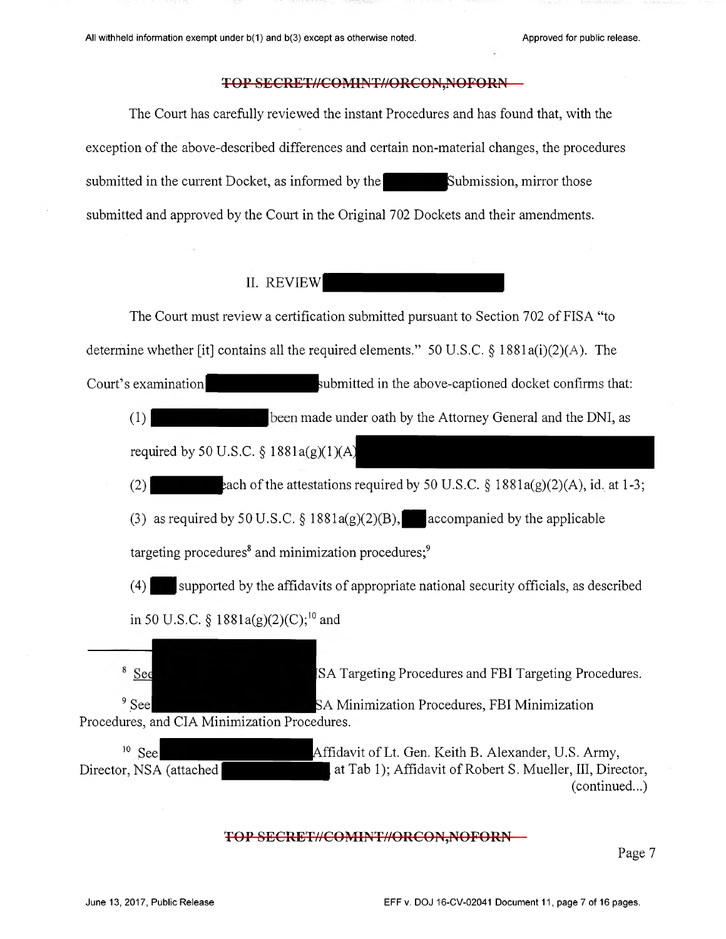The Court has carefully reviewed the instant Procedures and has found that, with the exception of the above-described differences and certain non-material changes, the procedures submitted in the current Docket, as informed by the Submission, mirror those submitted and approved by the Court in the Original 702 Dockets and their amendments.

# IL REVIEW

The Court must review a certification submitted pursuant to Section 702 of FISA "to determine whether [it] contains all the required elements." 50 U.S.C.  $\S$  1881a(i)(2)(A). The Court's examination  $\sim$  submitted in the above-captioned docket confirms that: (1) been made under oath by the Attorney General and the DNI, as required by 50 U.S.C.  $\S$  1881a(g)(1)(A) (2)  $\alpha$  each of the attestations required by 50 U.S.C. § 1881a(g)(2)(A), id. at 1-3; (3) as required by 50 U.S.C. § 1881a(g)(2)(B), accompanied by the applicable targeting procedures<sup>8</sup> and minimization procedures;<sup>9</sup> (4) supported by the affidavits of appropriate national security officials, as described in 50 U.S.C. §  $1881a(g)(2)(C);^{10}$  and <sup>8</sup> See SA Targeting Procedures and FBI Targeting Procedures. <sup>9</sup> See **19 See 19 SEPT 10 SA Minimization Procedures**, FBI Minimization Procedures, and CIA Minimization Procedures.  $10$  See Affidavit of Lt. Gen. Keith B. Alexander, U.S. Army, Director, NSA (attached at Tab 1); Affidavit of Robert S. Mueller, III, Director, (continued...)

#### TOP SECRET//COMINT//ORCON,NOFORN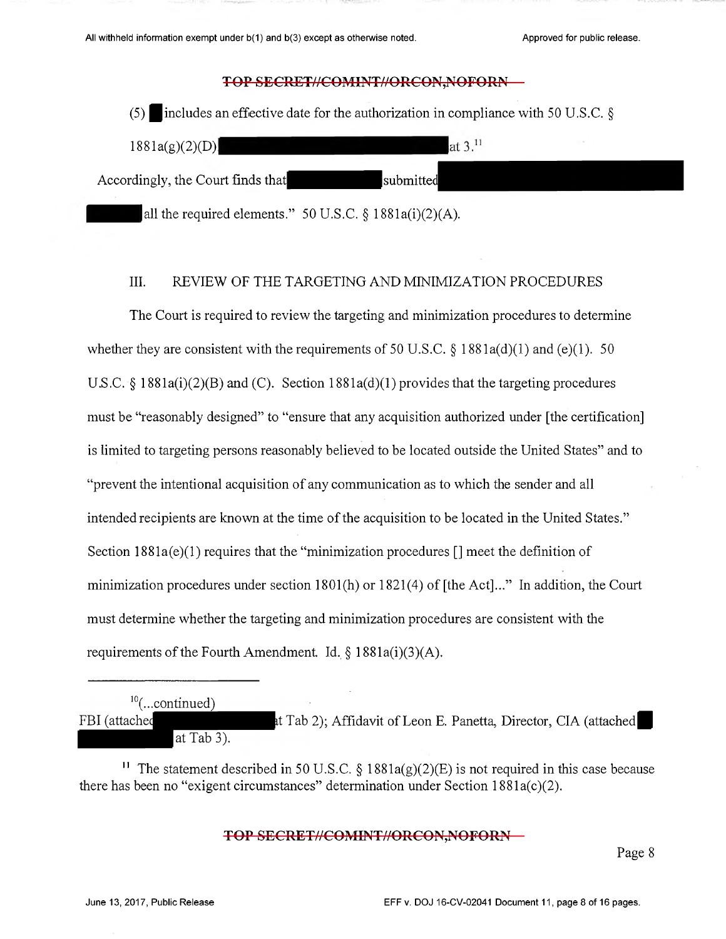| (5)                                                        | includes an effective date for the authorization in compliance with 50 U.S.C. $\S$ |  |
|------------------------------------------------------------|------------------------------------------------------------------------------------|--|
| 1881a(g)(2)(D)                                             | at $3^{11}$                                                                        |  |
| Accordingly, the Court finds that                          | submitted                                                                          |  |
| all the required elements." 50 U.S.C. $\S$ 1881a(i)(2)(A). |                                                                                    |  |

# III. REVIEW OF THE TARGETING AND MINIMIZATION PROCEDURES

The Court is required to review the targeting and minimization procedures to determine whether they are consistent with the requirements of 50 U.S.C.  $\S$  1881a(d)(1) and (e)(1). 50 U.S.C.  $\S$  1881a(i)(2)(B) and (C). Section 1881a(d)(1) provides that the targeting procedures must be "reasonably designed" to "ensure that any acquisition authorized under [the certification] is limited to targeting persons reasonably believed to be located outside the United States" and to "prevent the intentional acquisition of any communication as to which the sender and all intended recipients are known at the time of the acquisition to be located in the United States." Section  $1881a(e)(1)$  requires that the "minimization procedures  $\lceil \cdot \rceil$  meet the definition of minimization procedures under section 1801(h) or 1821(4) of [the Act]..." In addition, the Court must determine whether the targeting and minimization procedures are consistent with the requirements of the Fourth Amendment. Id.  $\S$  1881a(i)(3)(A).

| $^{10}$ (continued) |  |  |  |                                                                  |
|---------------------|--|--|--|------------------------------------------------------------------|
| FBI (attached       |  |  |  | at Tab 2); Affidavit of Leon E. Panetta, Director, CIA (attached |
| $\alpha$ Tab 3).    |  |  |  |                                                                  |

<sup>11</sup> The statement described in 50 U.S.C. § 1881a(g)(2)(E) is not required in this case because there has been no "exigent circumstances" determination under Section 1881a(c)(2).

TOP SECRET//COMINT//ORCON,NOFORN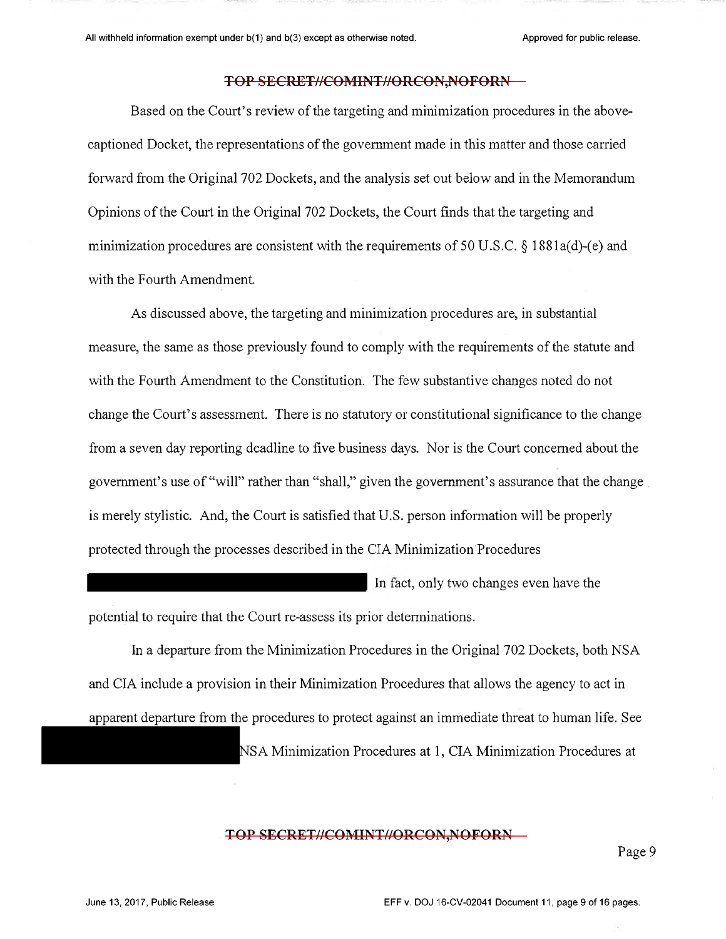Based on the Court's review of the targeting and minimization procedures in the abovecaptioned Docket, the representations of the government made in this matter and those carried minimization procedures are consistent with the requirements of 50 U.S.C. § 1881a(d)-(e) and with the Fourth Amendment. forward from the Original 702 Dockets, and the analysis set out below and in the Memorandum Opinions of the Court in the Original 702 Dockets, the Court finds that the targeting and

As discussed above, the targeting and minimization procedures are, in substantial measure, the same as those previously found to comply with the requirements of the statute and with the Fourth Amendment to the Constitution. The few substantive changes noted do not change the Court's assessment. There is no statutory or constitutional significance to the change from a seven day reporting deadline to five business days. Nor is the Court concerned about the government's use of "will" rather than "shall," given the government's assurance that the change is merely stylistic. And, the Court is satisfied that U.S. person information will be properly protected through the processes described in the CIA Minimization Procedures

In fact, only two changes even have the

potential to require that the Court re-assess its prior determinations.

In a departure from the Minimization Procedures in the Original 702 Dockets, both NSA apparent departure from the procedures to protect against an immediate threat to human life. See and CIA include a provision in their Minimization Procedures that allows the agency to act in NSA Minimization Procedures at 1, CIA Minimization Procedures at

#### TOP SECRET//COMINT//ORCON,NOFORN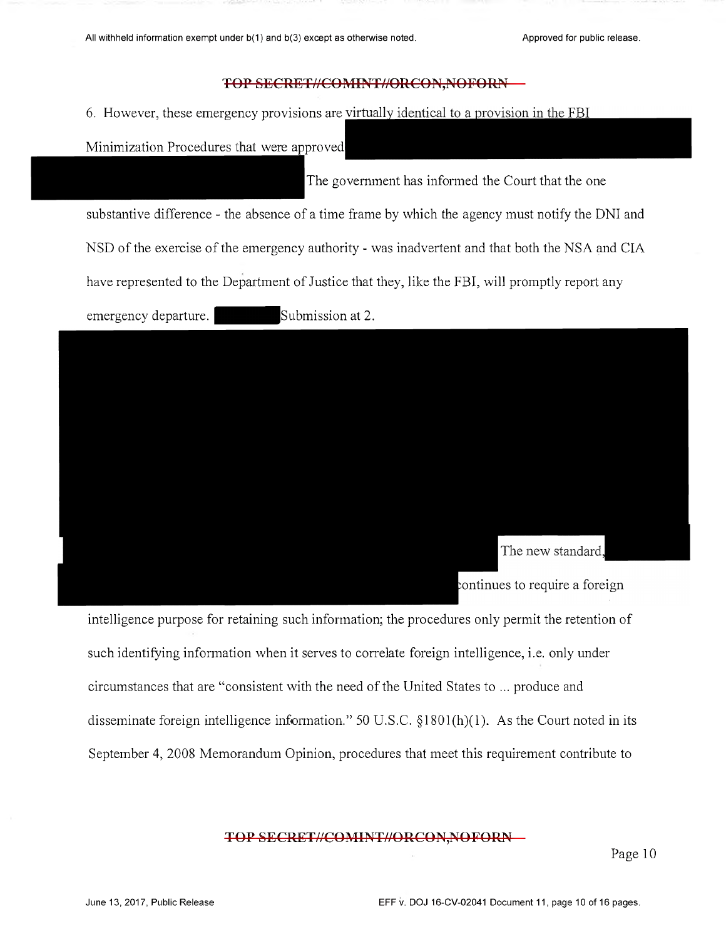6. However, these emergency provisions are

Minimization Procedures that were approved

The government has informed the Court that the one

substantive difference - the absence of a time frame by which the agency must notify the DNI and

NSD of the exercise of the emergency authority - was inadvertent and that both the NSA and CIA

have represented to the Department of Justice that they, like the FBI, will promptly report any

emergency departure. <br>Submission at 2.



intelligence purpose for retaining such information; the procedures only permit the retention of such identifying information when it serves to correlate foreign intelligence, i.e. only under circumstances that are "consistent with the need of the United States to ... produce and disseminate foreign intelligence information." 50 U.S.C.  $\S 1801(h)(1)$ . As the Court noted in its September 4, 2008 Memorandum Opinion, procedures that meet this requirement contribute to

## TOP SECRET//COMINT//ORCON,NOFORN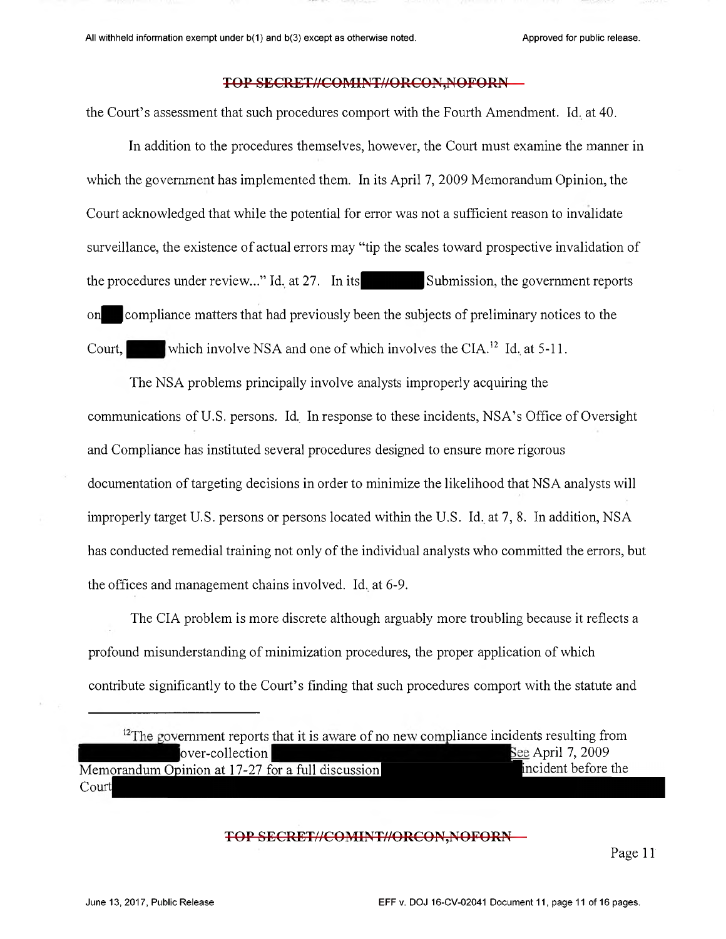the Court's assessment that such procedures comport with the Fourth Amendment. Id. at 40.

In addition to the procedures themselves, however, the Court must examine the manner in which the government has implemented them. In its April 7, 2009 Memorandum Opinion, the Court acknowledged that while the potential for error was not a sufficient reason to invalidate surveillance, the existence of actual errors may "tip the scales toward prospective invalidation of the procedures under review..." Id. at 27. In its Submission, the government reports on compliance matters that had previously been the subjects of preliminary notices to the Court, which involve NSA and one of which involves the CIA.<sup>12</sup> Id. at 5-11.

The NSA problems principally involve analysts improperly acquiring the communications of U.S. persons. Id. In response to these incidents, NSA's Office of Oversight and Compliance has instituted several procedures designed to ensure more rigorous documentation of targeting decisions in order to minimize the likelihood that NSA analysts will improperly target U.S. persons or persons located within the U.S. Id. at 7, 8. In addition, NSA has conducted remedial training not only of the individual analysts who committed the errors, but the offices and management chains involved. Id. at 6-9.

The CIA problem is more discrete although arguably more troubling because it reflects a profound misunderstanding of minimization procedures, the proper application of which contribute significantly to the Court's finding that such procedures comport with the statute and

#### **TOP SECRET//COMINT//ORCON,NOFORN**

 $12$ The government reports that it is aware of no new compliance incidents resulting from over-collection See April 7, 2009 Memorandum Opinion at 17-27 for a full discussion incident before the Court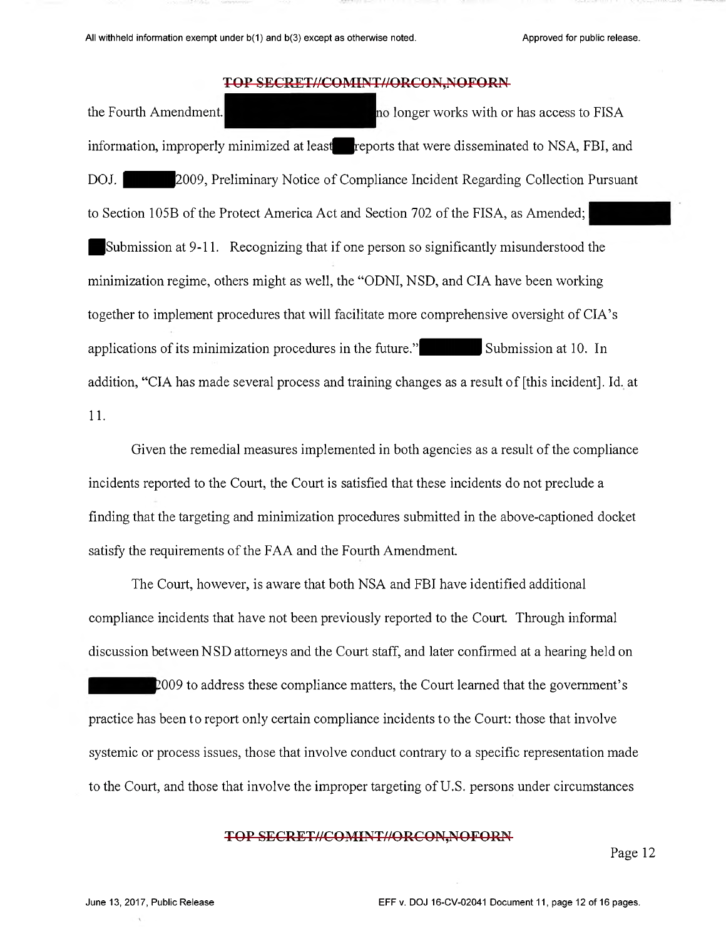the Fourth Amendment. local contract the Fourth Amendment. information, improperly minimized at least reports that were disseminated to NSA, FBI, and DOJ.  $\sim$  2009, Preliminary Notice of Compliance Incident Regarding Collection Pursuant to Section 105B of the Protect America Act and Section 702 of the FISA, as Amended; I Submission at 9-11. Recognizing that if one person so significantly misunderstood the minimization regime, others might as well, the "ODNI, NSD, and CIA have been working together to implement procedures that will facilitate more comprehensive oversight of CIA's applications of its minimization procedures in the future." Submission at 10. In addition, "CIA has made several process and training changes as a result of [this incident]. Id. at 11.

Given the remedial measures implemented in both agencies as a result of the compliance incidents reported to the Court, the Court is satisfied that these incidents do not preclude a finding that the targeting and minimization procedures submitted in the above-captioned docket satisfy the requirements of the FAA and the Fourth Amendment.

The Court, however, is aware that both NSA and FBI have identified additional compliance incidents that have not been previously reported to the Court. Through informal discussion between NSD attorneys and the Court staff, and later confirmed at a hearing held on

2009 to address these compliance matters, the Court learned that the government's practice has been to report only certain compliance incidents to the Court: those that involve systemic or process issues, those that involve conduct contrary to a specific representation made to the Court, and those that involve the improper targeting of U.S. persons under circumstances

#### TOP SECRET//COMINT//ORCON,NOFORN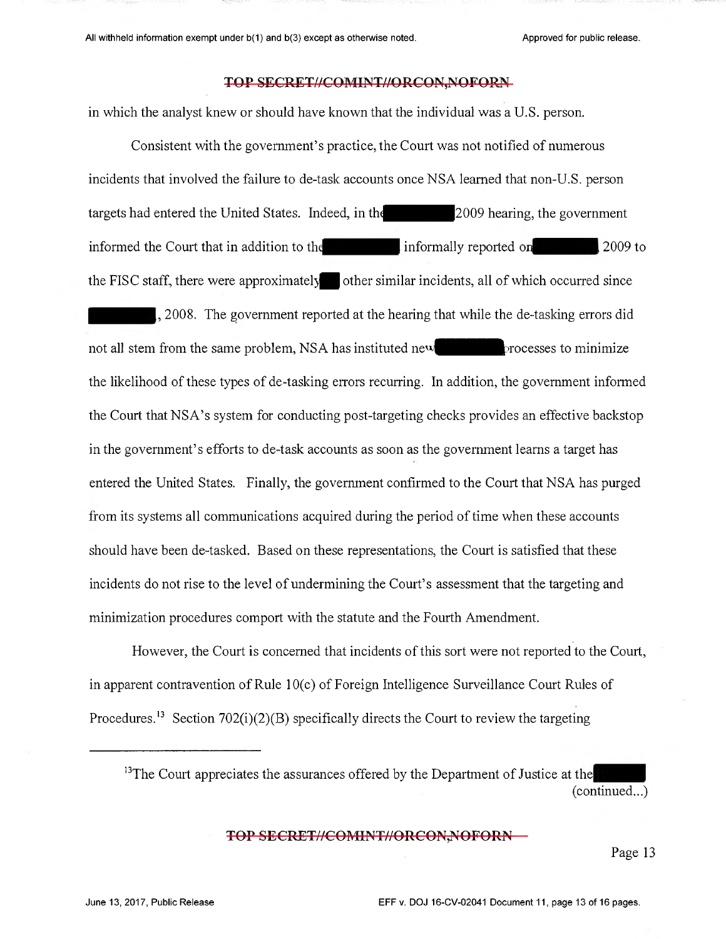in which the analyst knew or should have known that the individual was a U.S. person.

Consistent with the government's practice, the Court was not notified of numerous incidents that involved the failure to de-task accounts once NSA learned that non-U.S. person targets had entered the United States. Indeed, in the <sup>2009</sup> hearing, the government informed the Court that in addition to the informally reported on 2009 to the FISC staff, there were approximately  $\bullet$  other similar incidents, all of which occurred since 2008. The government reported at the hearing that while the de-tasking errors did not all stem from the same problem, NSA has instituted new processes to minimize the likelihood of these types of de-tasking errors recurring. In addition, the government inforrned the Court that NSA's system for conducting post-targeting checks provides an effective backstop in the government's efforts to de-task accounts as soon as the government learns a target has entered the United States. Finally, the government confirmed to the Court that NSA has purged from its systems all communications acquired during the period of time when these accounts should have been de-tasked. Based on these representations, the Court is satisfied that these incidents do not rise to the level of undermining the Court's assessment that the targeting and minimization procedures comport with the statute and the Fourth Amendment.

However, the Court is concerned that incidents of this sort were not reported to the Court, in apparent contravention of Rule 10(c) of Foreign Intelligence Surveillance Court Rules of Procedures.<sup>13</sup> Section 702(i)(2)(B) specifically directs the Court to review the targeting

 $13$ The Court appreciates the assurances offered by the Department of Justice at the (continued...)

#### **TOP SECRET//COMINT//ORCON,NOFORN**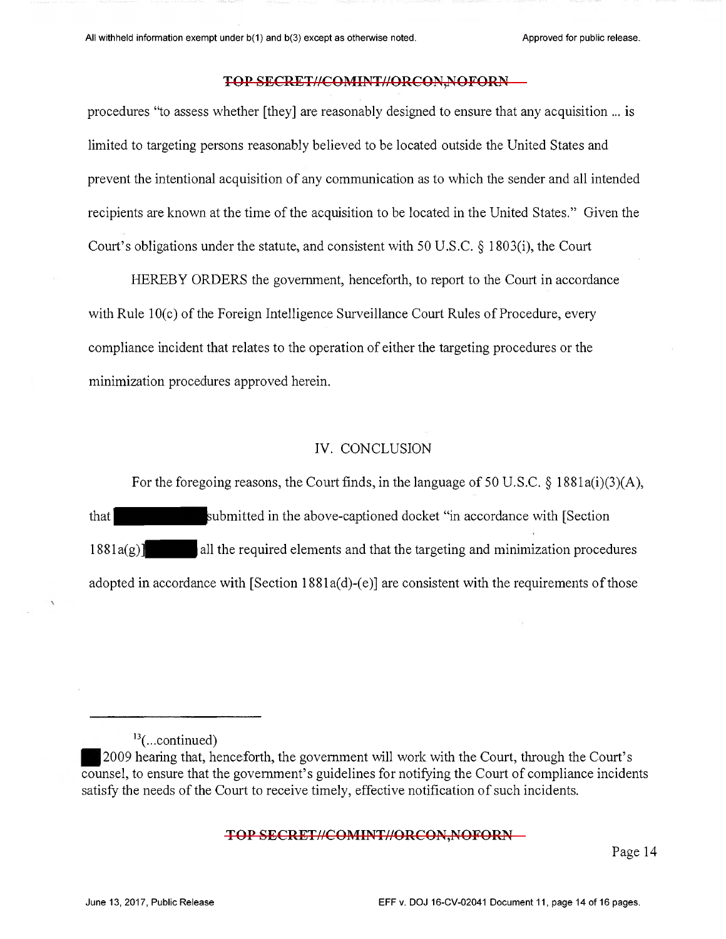procedures "to assess whether [they] are reasonably designed to ensure that any acquisition ... is limited to targeting persons reasonably believed to be located outside the United States and prevent the intentional acquisition of any communication as to which the sender and all intended recipients are known at the time of the acquisition to be located in the United States." Given the Court's obligations under the statute, and consistent with 50 U.S.C. § 1803(i), the Court

HEREBY ORDERS the government, henceforth, to report to the Court in accordance with Rule 10(c) of the Foreign Intelligence Surveillance Court Rules of Procedure, every compliance incident that relates to the operation of either the targeting procedures or the minimization procedures approved herein.

#### IV. CONCLUSION

For the foregoing reasons, the Court finds, in the language of 50 U.S.C. § 1881a(i)(3)(A), that *submitted in the above-captioned docket* "in accordance with [Section  $1881a(g)$ ] all the required elements and that the targeting and minimization procedures adopted in accordance with [Section 1881a(d)-(e)] are consistent with the requirements of those

#### TOP SECRET//COMINT//ORCON,NOFORN

 $\frac{13}{}$ (... continued)

<sup>2009</sup> hearing that, henceforth, the government will work with the Court, through the Court's counsel, to ensure that the government's guidelines for notifying the Court of compliance incidents satisfy the needs of the Court to receive timely, effective notification of such incidents.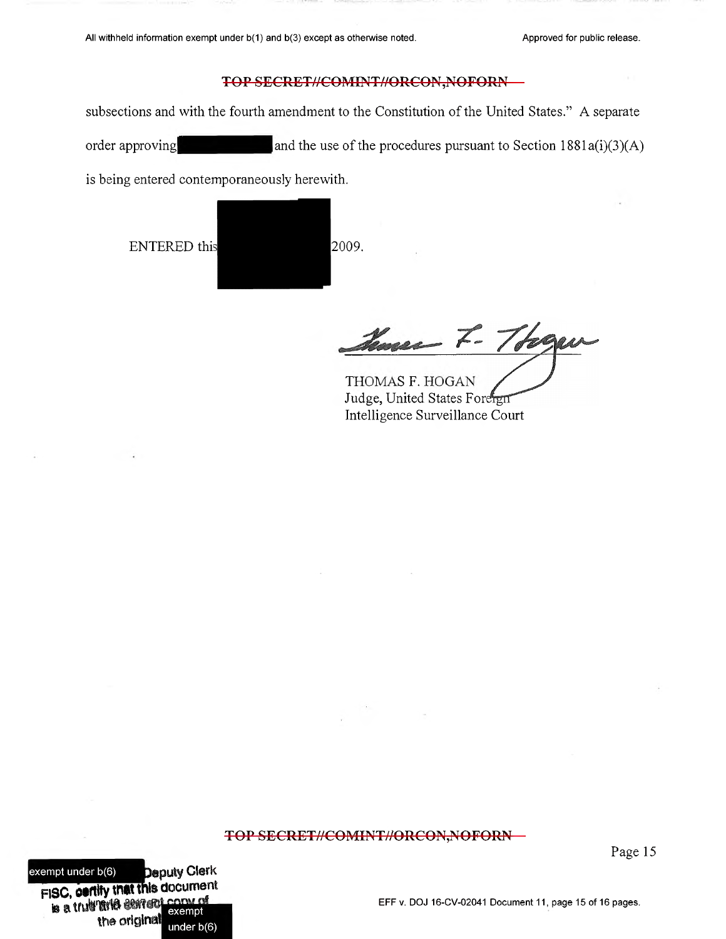subsections and with the fourth amendment to the Constitution of the United States." A separate order approving and the use of the procedures pursuant to Section 1881a(i)(3)(A)

is being entered contemporaneously herewith.

ENTERED this 2009.

Have F. Tooger

THOMAS F. HOGAN Judge, United States Foreign Intelligence Surveillance Court

#### TOP SECRET//COMINT//ORCON,NOFORN

Page 15

exempt under b(6) **Deputy Clerk FISC, certify that this document** te a trut firt<sup>a</sup> cerrent the original exempt under b(6)

#### EFF v. DOJ 16-CV-02041 Document 11, page 15 of 16 pages.